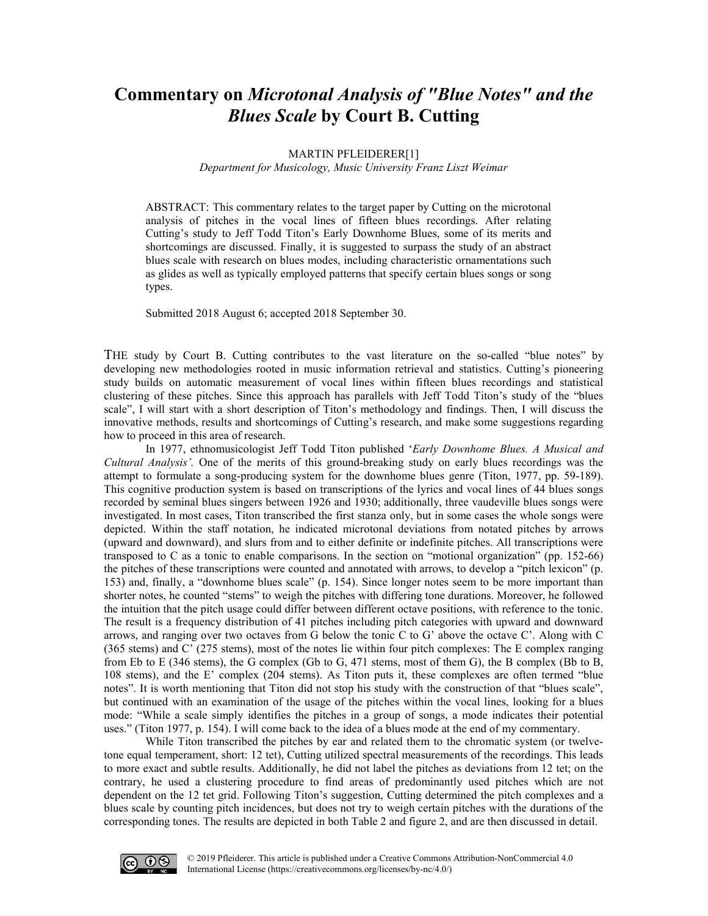# **Commentary on** *Microtonal Analysis of "Blue Notes" and the Blues Scale* **by Court B. Cutting**

#### MARTIN PFLEIDERER[1]

*Department for Musicology, Music University Franz Liszt Weimar*

ABSTRACT: This commentary relates to the target paper by Cutting on the microtonal analysis of pitches in the vocal lines of fifteen blues recordings. After relating Cutting's study to Jeff Todd Titon's Early Downhome Blues, some of its merits and shortcomings are discussed. Finally, it is suggested to surpass the study of an abstract blues scale with research on blues modes, including characteristic ornamentations such as glides as well as typically employed patterns that specify certain blues songs or song types.

Submitted 2018 August 6; accepted 2018 September 30.

THE study by Court B. Cutting contributes to the vast literature on the so-called "blue notes" by developing new methodologies rooted in music information retrieval and statistics. Cutting's pioneering study builds on automatic measurement of vocal lines within fifteen blues recordings and statistical clustering of these pitches. Since this approach has parallels with Jeff Todd Titon's study of the "blues scale", I will start with a short description of Titon's methodology and findings. Then, I will discuss the innovative methods, results and shortcomings of Cutting's research, and make some suggestions regarding how to proceed in this area of research.

In 1977, ethnomusicologist Jeff Todd Titon published '*Early Downhome Blues. A Musical and Cultural Analysis'.* One of the merits of this ground-breaking study on early blues recordings was the attempt to formulate a song-producing system for the downhome blues genre (Titon, 1977, pp. 59-189). This cognitive production system is based on transcriptions of the lyrics and vocal lines of 44 blues songs recorded by seminal blues singers between 1926 and 1930; additionally, three vaudeville blues songs were investigated. In most cases, Titon transcribed the first stanza only, but in some cases the whole songs were depicted. Within the staff notation, he indicated microtonal deviations from notated pitches by arrows (upward and downward), and slurs from and to either definite or indefinite pitches. All transcriptions were transposed to C as a tonic to enable comparisons. In the section on "motional organization" (pp. 152-66) the pitches of these transcriptions were counted and annotated with arrows, to develop a "pitch lexicon" (p. 153) and, finally, a "downhome blues scale" (p. 154). Since longer notes seem to be more important than shorter notes, he counted "stems" to weigh the pitches with differing tone durations. Moreover, he followed the intuition that the pitch usage could differ between different octave positions, with reference to the tonic. The result is a frequency distribution of 41 pitches including pitch categories with upward and downward arrows, and ranging over two octaves from G below the tonic C to G' above the octave C'. Along with C (365 stems) and C' (275 stems), most of the notes lie within four pitch complexes: The E complex ranging from Eb to E (346 stems), the G complex (Gb to G, 471 stems, most of them G), the B complex (Bb to B, 108 stems), and the E' complex (204 stems). As Titon puts it, these complexes are often termed "blue notes". It is worth mentioning that Titon did not stop his study with the construction of that "blues scale", but continued with an examination of the usage of the pitches within the vocal lines, looking for a blues mode: "While a scale simply identifies the pitches in a group of songs, a mode indicates their potential uses." (Titon 1977, p. 154). I will come back to the idea of a blues mode at the end of my commentary.

While Titon transcribed the pitches by ear and related them to the chromatic system (or twelvetone equal temperament, short: 12 tet), Cutting utilized spectral measurements of the recordings. This leads to more exact and subtle results. Additionally, he did not label the pitches as deviations from 12 tet; on the contrary, he used a clustering procedure to find areas of predominantly used pitches which are not dependent on the 12 tet grid. Following Titon's suggestion, Cutting determined the pitch complexes and a blues scale by counting pitch incidences, but does not try to weigh certain pitches with the durations of the corresponding tones. The results are depicted in both Table 2 and figure 2, and are then discussed in detail.

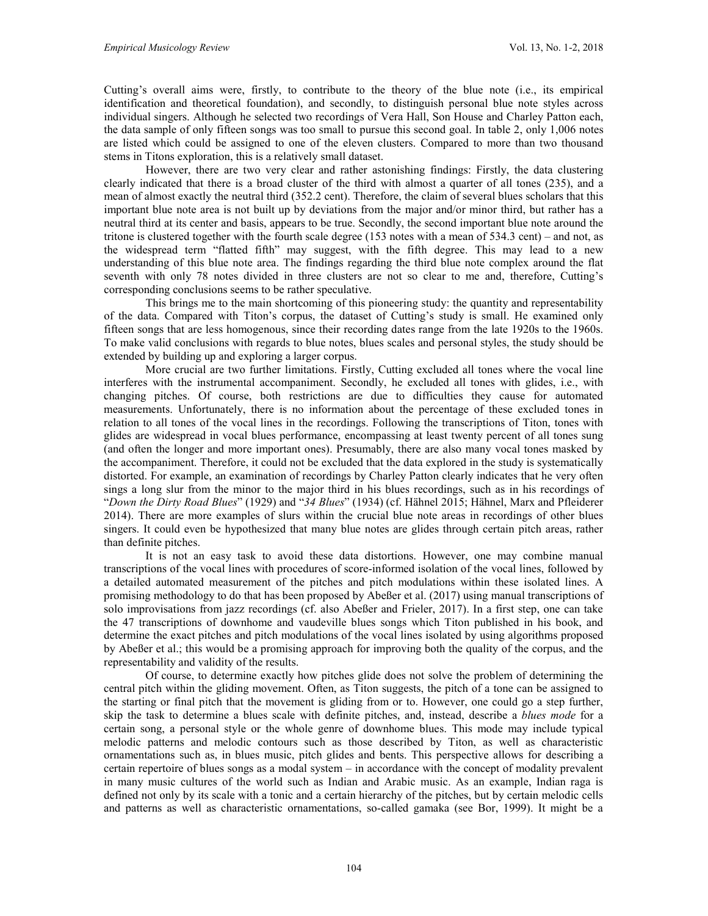Cutting's overall aims were, firstly, to contribute to the theory of the blue note (i.e., its empirical identification and theoretical foundation), and secondly, to distinguish personal blue note styles across individual singers. Although he selected two recordings of Vera Hall, Son House and Charley Patton each, the data sample of only fifteen songs was too small to pursue this second goal. In table 2, only 1,006 notes are listed which could be assigned to one of the eleven clusters. Compared to more than two thousand stems in Titons exploration, this is a relatively small dataset.

However, there are two very clear and rather astonishing findings: Firstly, the data clustering clearly indicated that there is a broad cluster of the third with almost a quarter of all tones (235), and a mean of almost exactly the neutral third (352.2 cent). Therefore, the claim of several blues scholars that this important blue note area is not built up by deviations from the major and/or minor third, but rather has a neutral third at its center and basis, appears to be true. Secondly, the second important blue note around the tritone is clustered together with the fourth scale degree (153 notes with a mean of 534.3 cent) – and not, as the widespread term "flatted fifth" may suggest, with the fifth degree. This may lead to a new understanding of this blue note area. The findings regarding the third blue note complex around the flat seventh with only 78 notes divided in three clusters are not so clear to me and, therefore, Cutting's corresponding conclusions seems to be rather speculative.

This brings me to the main shortcoming of this pioneering study: the quantity and representability of the data. Compared with Titon's corpus, the dataset of Cutting's study is small. He examined only fifteen songs that are less homogenous, since their recording dates range from the late 1920s to the 1960s. To make valid conclusions with regards to blue notes, blues scales and personal styles, the study should be extended by building up and exploring a larger corpus.

More crucial are two further limitations. Firstly, Cutting excluded all tones where the vocal line interferes with the instrumental accompaniment. Secondly, he excluded all tones with glides, i.e., with changing pitches. Of course, both restrictions are due to difficulties they cause for automated measurements. Unfortunately, there is no information about the percentage of these excluded tones in relation to all tones of the vocal lines in the recordings. Following the transcriptions of Titon, tones with glides are widespread in vocal blues performance, encompassing at least twenty percent of all tones sung (and often the longer and more important ones). Presumably, there are also many vocal tones masked by the accompaniment. Therefore, it could not be excluded that the data explored in the study is systematically distorted. For example, an examination of recordings by Charley Patton clearly indicates that he very often sings a long slur from the minor to the major third in his blues recordings, such as in his recordings of "*Down the Dirty Road Blues*" (1929) and "*34 Blues*" (1934) (cf. Hähnel 2015; Hähnel, Marx and Pfleiderer 2014). There are more examples of slurs within the crucial blue note areas in recordings of other blues singers. It could even be hypothesized that many blue notes are glides through certain pitch areas, rather than definite pitches.

It is not an easy task to avoid these data distortions. However, one may combine manual transcriptions of the vocal lines with procedures of score-informed isolation of the vocal lines, followed by a detailed automated measurement of the pitches and pitch modulations within these isolated lines. A promising methodology to do that has been proposed by Abeßer et al. (2017) using manual transcriptions of solo improvisations from jazz recordings (cf. also Abeßer and Frieler, 2017). In a first step, one can take the 47 transcriptions of downhome and vaudeville blues songs which Titon published in his book, and determine the exact pitches and pitch modulations of the vocal lines isolated by using algorithms proposed by Abeßer et al.; this would be a promising approach for improving both the quality of the corpus, and the representability and validity of the results.

Of course, to determine exactly how pitches glide does not solve the problem of determining the central pitch within the gliding movement. Often, as Titon suggests, the pitch of a tone can be assigned to the starting or final pitch that the movement is gliding from or to. However, one could go a step further, skip the task to determine a blues scale with definite pitches, and, instead, describe a *blues mode* for a certain song, a personal style or the whole genre of downhome blues. This mode may include typical melodic patterns and melodic contours such as those described by Titon, as well as characteristic ornamentations such as, in blues music, pitch glides and bents. This perspective allows for describing a certain repertoire of blues songs as a modal system – in accordance with the concept of modality prevalent in many music cultures of the world such as Indian and Arabic music. As an example, Indian raga is defined not only by its scale with a tonic and a certain hierarchy of the pitches, but by certain melodic cells and patterns as well as characteristic ornamentations, so-called gamaka (see Bor, 1999). It might be a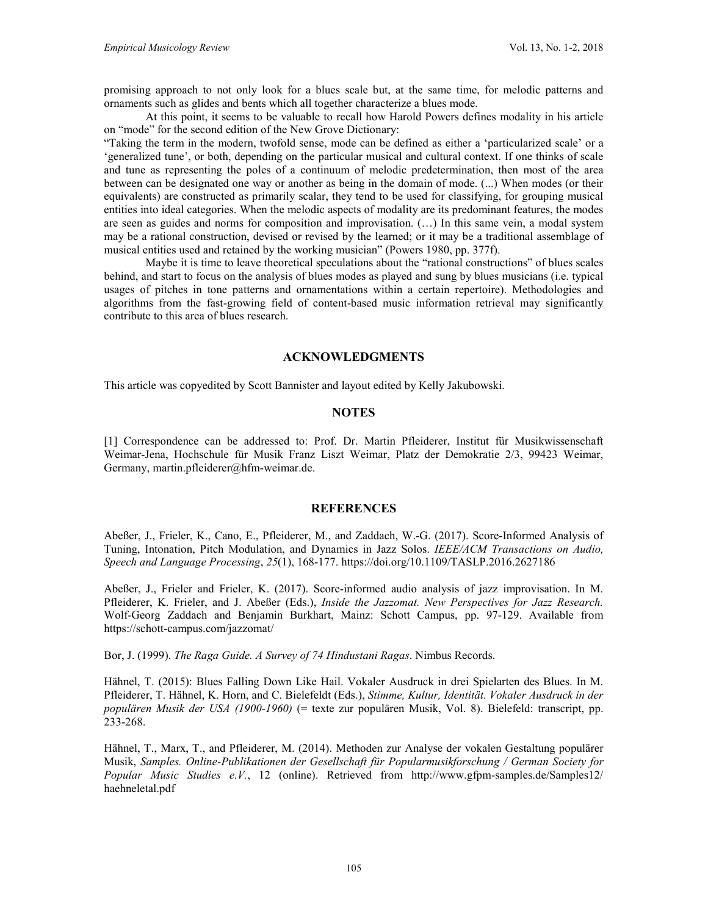promising approach to not only look for a blues scale but, at the same time, for melodic patterns and ornaments such as glides and bents which all together characterize a blues mode.

At this point, it seems to be valuable to recall how Harold Powers defines modality in his article on "mode" for the second edition of the New Grove Dictionary:

"Taking the term in the modern, twofold sense, mode can be defined as either a 'particularized scale' or a 'generalized tune', or both, depending on the particular musical and cultural context. If one thinks of scale and tune as representing the poles of a continuum of melodic predetermination, then most of the area between can be designated one way or another as being in the domain of mode. (...) When modes (or their equivalents) are constructed as primarily scalar, they tend to be used for classifying, for grouping musical entities into ideal categories. When the melodic aspects of modality are its predominant features, the modes are seen as guides and norms for composition and improvisation. (…) In this same vein, a modal system may be a rational construction, devised or revised by the learned; or it may be a traditional assemblage of musical entities used and retained by the working musician" (Powers 1980, pp. 377f).

Maybe it is time to leave theoretical speculations about the "rational constructions" of blues scales behind, and start to focus on the analysis of blues modes as played and sung by blues musicians (i.e. typical usages of pitches in tone patterns and ornamentations within a certain repertoire). Methodologies and algorithms from the fast-growing field of content-based music information retrieval may significantly contribute to this area of blues research.

### **ACKNOWLEDGMENTS**

This article was copyedited by Scott Bannister and layout edited by Kelly Jakubowski.

## **NOTES**

[1] Correspondence can be addressed to: Prof. Dr. Martin Pfleiderer, Institut für Musikwissenschaft Weimar-Jena, Hochschule für Musik Franz Liszt Weimar, Platz der Demokratie 2/3, 99423 Weimar, Germany, [martin.pfleiderer@hfm-weimar.de.](mailto:martin.pfleiderer@hfm-weimar.de)

#### **REFERENCES**

Abeßer, J., Frieler, K., Cano, E., Pfleiderer, M., and Zaddach, W.-G. (2017). Score-Informed Analysis of Tuning, Intonation, Pitch Modulation, and Dynamics in Jazz Solos. *IEEE/ACM Transactions on Audio, Speech and Language Processing*, *25*(1), 168-177.<https://doi.org/10.1109/TASLP.2016.2627186>

Abeßer, J., Frieler and Frieler, K. (2017). Score-informed audio analysis of jazz improvisation. In M. Pfleiderer, K. Frieler, and J. Abeßer (Eds.), *Inside the Jazzomat. New Perspectives for Jazz Research.*  Wolf-Georg Zaddach and Benjamin Burkhart, Mainz: Schott Campus, pp. 97-129. Available from <https://schott-campus.com/jazzomat/>

Bor, J. (1999). *The Raga Guide. A Survey of 74 Hindustani Ragas*. Nimbus Records.

Hähnel, T. (2015): Blues Falling Down Like Hail. Vokaler Ausdruck in drei Spielarten des Blues. In M. Pfleiderer, T. Hähnel, K. Horn, and C. Bielefeldt (Eds.), *Stimme, Kultur, Identität. Vokaler Ausdruck in der populären Musik der USA (1900-1960)* (= texte zur populären Musik, Vol. 8). Bielefeld: transcript, pp. 233-268.

Hähnel, T., Marx, T., and Pfleiderer, M. (2014). Methoden zur Analyse der vokalen Gestaltung populärer Musik, *Samples. Online-Publikationen der Gesellschaft für Popularmusikforschung / German Society for Popular Music Studies e.V.*, 12 (online). Retrieved from [http://www.gfpm-samples.de/Samples12/](http://www.gfpm-samples.de/Samples12/haehneletal.pdf) [haehneletal.pdf](http://www.gfpm-samples.de/Samples12/haehneletal.pdf)